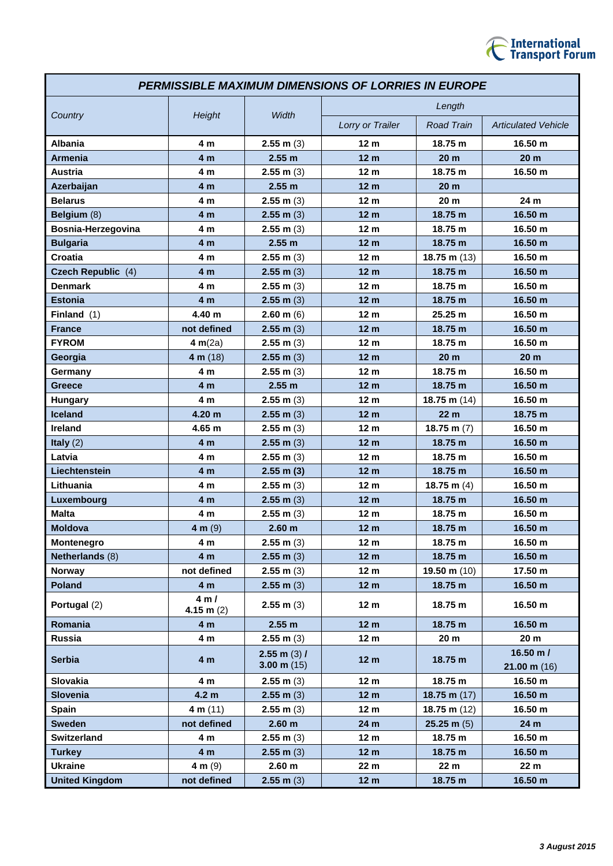

| <b>PERMISSIBLE MAXIMUM DIMENSIONS OF LORRIES IN EUROPE</b> |                     |                                 |                  |                        |                                    |
|------------------------------------------------------------|---------------------|---------------------------------|------------------|------------------------|------------------------------------|
| Country                                                    | Height              | Width                           | Length           |                        |                                    |
|                                                            |                     |                                 | Lorry or Trailer | <b>Road Train</b>      | <b>Articulated Vehicle</b>         |
| <b>Albania</b>                                             | 4 m                 | $2.55$ m $(3)$                  | 12 <sub>m</sub>  | 18.75 m                | 16.50 m                            |
| <b>Armenia</b>                                             | 4 <sub>m</sub>      | 2.55 m                          | 12 <sub>m</sub>  | 20 <sub>m</sub>        | 20 <sub>m</sub>                    |
| <b>Austria</b>                                             | 4 <sub>m</sub>      | $2.55$ m $(3)$                  | 12 <sub>m</sub>  | 18.75 m                | 16.50 m                            |
| Azerbaijan                                                 | 4 <sub>m</sub>      | 2.55 m                          | 12 <sub>m</sub>  | 20 <sub>m</sub>        |                                    |
| <b>Belarus</b>                                             | 4 <sub>m</sub>      | $2.55$ m $(3)$                  | 12 <sub>m</sub>  | 20 <sub>m</sub>        | 24 m                               |
| Belgium (8)                                                | 4 m                 | $2.55$ m $(3)$                  | 12 <sub>m</sub>  | 18.75 m                | 16.50 m                            |
| Bosnia-Herzegovina                                         | 4 <sub>m</sub>      | $2.55$ m $(3)$                  | 12 <sub>m</sub>  | 18.75 m                | 16.50 m                            |
| <b>Bulgaria</b>                                            | 4 <sub>m</sub>      | 2.55 m                          | 12 <sub>m</sub>  | 18.75 m                | 16.50 m                            |
| Croatia                                                    | 4 m                 | $2.55$ m $(3)$                  | 12 <sub>m</sub>  | 18.75 m $(13)$         | 16.50 m                            |
| Czech Republic (4)                                         | 4 m                 | $2.55$ m $(3)$                  | 12 <sub>m</sub>  | 18.75 m                | 16.50 m                            |
| <b>Denmark</b>                                             | 4 m                 | $2.55$ m $(3)$                  | 12 <sub>m</sub>  | 18.75 m                | 16.50 m                            |
| <b>Estonia</b>                                             | 4 <sub>m</sub>      | $2.55$ m $(3)$                  | 12 <sub>m</sub>  | 18.75 m                | 16.50 m                            |
| Finland $(1)$                                              | 4.40 m              | $2.60$ m (6)                    | 12 <sub>m</sub>  | 25.25 m                | 16.50 m                            |
| <b>France</b>                                              | not defined         | $2.55$ m (3)                    | 12 <sub>m</sub>  | 18.75 m                | 16.50 m                            |
| <b>FYROM</b>                                               | 4 $m(2a)$           | $2.55$ m $(3)$                  | 12 <sub>m</sub>  | 18.75 m                | 16.50 m                            |
| Georgia                                                    | 4 m $(18)$          | $2.55$ m $(3)$                  | 12 <sub>m</sub>  | 20 <sub>m</sub>        | 20 <sub>m</sub>                    |
| Germany                                                    | 4 m                 | $2.55$ m $(3)$                  | 12 <sub>m</sub>  | 18.75 m                | 16.50 m                            |
| Greece                                                     | 4 m                 | 2.55 m                          | 12 <sub>m</sub>  | 18.75 m                | 16.50 m                            |
| <b>Hungary</b>                                             | 4 <sub>m</sub>      | $2.55$ m $(3)$                  | 12 <sub>m</sub>  | 18.75 m $(14)$         | 16.50 m                            |
| <b>Iceland</b>                                             | 4.20 <sub>m</sub>   | $2.55$ m $(3)$                  | 12 <sub>m</sub>  | 22 <sub>m</sub>        | 18.75 m                            |
| Ireland                                                    | 4.65 m              | $2.55$ m $(3)$                  | 12 <sub>m</sub>  | 18.75 m $(7)$          | 16.50 m                            |
| Italy $(2)$                                                | 4 m                 | $2.55$ m $(3)$                  | 12 <sub>m</sub>  | 18.75 m                | 16.50 m                            |
| Latvia                                                     | 4 <sub>m</sub>      | $2.55$ m $(3)$                  | 12 <sub>m</sub>  | 18.75 m                | 16.50 m                            |
| Liechtenstein                                              | 4 <sub>m</sub>      | $2.55$ m $(3)$                  | 12 <sub>m</sub>  | 18.75 m                | 16.50 m                            |
| Lithuania                                                  | 4 m                 | $2.55$ m $(3)$                  | 12 <sub>m</sub>  | 18.75 m $(4)$          | 16.50 m                            |
| Luxembourg                                                 | 4 m                 | $2.55$ m $(3)$                  | 12 <sub>m</sub>  | 18.75 m                | 16.50 m                            |
| <b>Malta</b>                                               | 4 m                 | $2.55$ m (3)                    | 12 <sub>m</sub>  | 18.75 m                | 16.50 m                            |
| <b>Moldova</b>                                             | 4 m $(9)$           | 2.60 <sub>m</sub>               | 12 <sub>m</sub>  | 18.75 m                | 16.50 m                            |
| Montenegro                                                 | 4 m                 | $2.55$ m $(3)$                  | 12 <sub>m</sub>  | 18.75 m                | 16.50 m                            |
| Netherlands (8)                                            | 4 m                 | $2.55$ m $(3)$                  | 12 <sub>m</sub>  | 18.75 m                | 16.50 m                            |
| Norway                                                     | not defined         | $2.55$ m $(3)$                  | 12 <sub>m</sub>  | 19.50 m $(10)$         | 17.50 m                            |
| <b>Poland</b>                                              | 4 m                 | $2.55$ m $(3)$                  | 12 <sub>m</sub>  | 18.75 m                | 16.50 m                            |
| Portugal (2)                                               | 4m/<br>4.15 m $(2)$ | $2.55$ m $(3)$                  | 12 <sub>m</sub>  | 18.75 m                | 16.50 m                            |
| Romania                                                    | 4 <sub>m</sub>      | 2.55 m                          | 12 <sub>m</sub>  | 18.75 m                | 16.50 m                            |
| Russia                                                     | 4 m                 | $2.55$ m $(3)$                  | 12 <sub>m</sub>  | 20 <sub>m</sub>        | 20 <sub>m</sub>                    |
| <b>Serbia</b>                                              | 4 <sub>m</sub>      | $2.55$ m (3) /<br>3.00 m $(15)$ | 12 <sub>m</sub>  | 18.75 m                | 16.50 m/<br>$21.00 \text{ m} (16)$ |
| Slovakia                                                   | 4 m                 | $2.55$ m $(3)$                  | 12 <sub>m</sub>  | 18.75 m                | 16.50 m                            |
| <b>Slovenia</b>                                            | 4.2 <sub>m</sub>    | $2.55$ m $(3)$                  | 12 <sub>m</sub>  | 18.75 m $(17)$         | 16.50 m                            |
| <b>Spain</b>                                               | 4 m $(11)$          | $2.55$ m $(3)$                  | 12 <sub>m</sub>  | 18.75 m $(12)$         | 16.50 m                            |
| <b>Sweden</b>                                              | not defined         | 2.60 <sub>m</sub>               | 24 m             | $25.25 \text{ m } (5)$ | 24 m                               |
| <b>Switzerland</b>                                         | 4 m                 | $2.55$ m $(3)$                  | 12 <sub>m</sub>  | 18.75 m                | 16.50 m                            |
| <b>Turkey</b>                                              | 4 <sub>m</sub>      | $2.55$ m $(3)$                  | 12 <sub>m</sub>  | 18.75 m                | 16.50 m                            |
| <b>Ukraine</b>                                             | 4 m $(9)$           | 2.60 <sub>m</sub>               | 22 m             | 22 m                   | 22 m                               |
| <b>United Kingdom</b>                                      | not defined         | $2.55$ m $(3)$                  | 12 <sub>m</sub>  | 18.75 m                | 16.50 m                            |